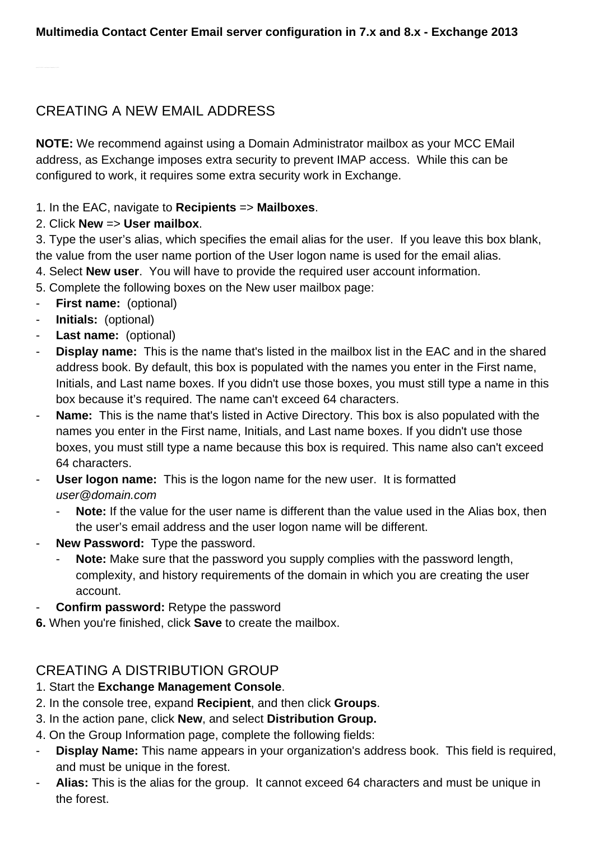# CREATING A NEW EMAIL ADDRESS

**NOTE:** We recommend against using a Domain Administrator mailbox as your MCC EMail address, as Exchange imposes extra security to prevent IMAP access. While this can be configured to work, it requires some extra security work in Exchange.

#### 1. In the EAC, navigate to **Recipients** => **Mailboxes**.

#### 2. Click **New** => **User mailbox**.

3. Type the user's alias, which specifies the email alias for the user. If you leave this box blank, the value from the user name portion of the User logon name is used for the email alias.

4. Select **New user**. You will have to provide the required user account information.

- 5. Complete the following boxes on the New user mailbox page:
- **First name:** (optional)
- **Initials:** (optional)
- **Last name:** (optional)
- **Display name:** This is the name that's listed in the mailbox list in the EAC and in the shared address book. By default, this box is populated with the names you enter in the First name, Initials, and Last name boxes. If you didn't use those boxes, you must still type a name in this box because it's required. The name can't exceed 64 characters.
- **Name:** This is the name that's listed in Active Directory. This box is also populated with the names you enter in the First name, Initials, and Last name boxes. If you didn't use those boxes, you must still type a name because this box is required. This name also can't exceed 64 characters.
- **User logon name:** This is the logon name for the new user. It is formatted user@domain.com
	- **Note:** If the value for the user name is different than the value used in the Alias box, then the user's email address and the user logon name will be different.
- **New Password:** Type the password.
	- **Note:** Make sure that the password you supply complies with the password length, complexity, and history requirements of the domain in which you are creating the user account.
- **Confirm password:** Retype the password
- **6.** When you're finished, click **Save** to create the mailbox.

## CREATING A DISTRIBUTION GROUP

#### 1. Start the **Exchange Management Console**.

- 2. In the console tree, expand **Recipient**, and then click **Groups**.
- 3. In the action pane, click **New**, and select **Distribution Group.**
- 4. On the Group Information page, complete the following fields:
- **Display Name:** This name appears in your organization's address book. This field is required, and must be unique in the forest.
- **Alias:** This is the alias for the group. It cannot exceed 64 characters and must be unique in the forest.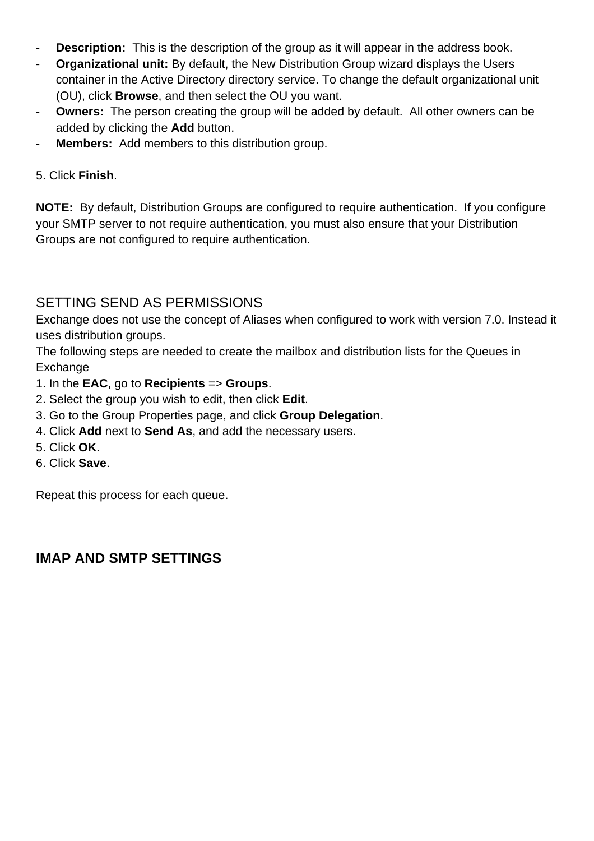- **Description:** This is the description of the group as it will appear in the address book.
- **Organizational unit:** By default, the New Distribution Group wizard displays the Users container in the Active Directory directory service. To change the default organizational unit (OU), click **Browse**, and then select the OU you want.
- **Owners:** The person creating the group will be added by default. All other owners can be added by clicking the **Add** button.
- **Members:** Add members to this distribution group.

5. Click **Finish**.

**NOTE:** By default, Distribution Groups are configured to require authentication. If you configure your SMTP server to not require authentication, you must also ensure that your Distribution Groups are not configured to require authentication.

### SETTING SEND AS PERMISSIONS

Exchange does not use the concept of Aliases when configured to work with version 7.0. Instead it uses distribution groups.

The following steps are needed to create the mailbox and distribution lists for the Queues in Exchange

- 1. In the **EAC**, go to **Recipients** => **Groups**.
- 2. Select the group you wish to edit, then click **Edit**.
- 3. Go to the Group Properties page, and click **Group Delegation**.
- 4. Click **Add** next to **Send As**, and add the necessary users.
- 5. Click **OK**.
- 6. Click **Save**.

Repeat this process for each queue.

### **IMAP AND SMTP SETTINGS**